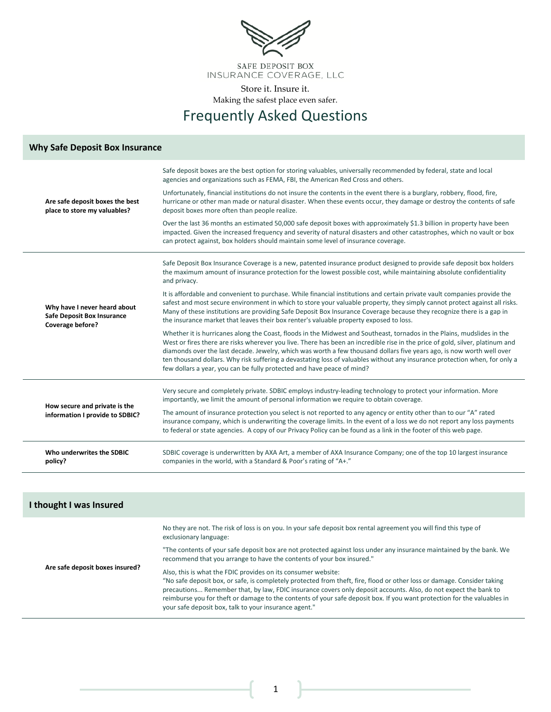

Frequently Asked Questions

#### **Why Safe Deposit Box Insurance**

| Are safe deposit boxes the best<br>place to store my valuables?                       | Safe deposit boxes are the best option for storing valuables, universally recommended by federal, state and local<br>agencies and organizations such as FEMA, FBI, the American Red Cross and others.                                                                                                                                                                                                                                                                                                                                                                                     |
|---------------------------------------------------------------------------------------|-------------------------------------------------------------------------------------------------------------------------------------------------------------------------------------------------------------------------------------------------------------------------------------------------------------------------------------------------------------------------------------------------------------------------------------------------------------------------------------------------------------------------------------------------------------------------------------------|
|                                                                                       | Unfortunately, financial institutions do not insure the contents in the event there is a burglary, robbery, flood, fire,<br>hurricane or other man made or natural disaster. When these events occur, they damage or destroy the contents of safe<br>deposit boxes more often than people realize.                                                                                                                                                                                                                                                                                        |
| Why have I never heard about<br><b>Safe Deposit Box Insurance</b><br>Coverage before? | Over the last 36 months an estimated 50,000 safe deposit boxes with approximately \$1.3 billion in property have been<br>impacted. Given the increased frequency and severity of natural disasters and other catastrophes, which no vault or box<br>can protect against, box holders should maintain some level of insurance coverage.                                                                                                                                                                                                                                                    |
|                                                                                       | Safe Deposit Box Insurance Coverage is a new, patented insurance product designed to provide safe deposit box holders<br>the maximum amount of insurance protection for the lowest possible cost, while maintaining absolute confidentiality<br>and privacy.                                                                                                                                                                                                                                                                                                                              |
|                                                                                       | It is affordable and convenient to purchase. While financial institutions and certain private vault companies provide the<br>safest and most secure environment in which to store your valuable property, they simply cannot protect against all risks.<br>Many of these institutions are providing Safe Deposit Box Insurance Coverage because they recognize there is a gap in<br>the insurance market that leaves their box renter's valuable property exposed to loss.                                                                                                                |
|                                                                                       | Whether it is hurricanes along the Coast, floods in the Midwest and Southeast, tornados in the Plains, mudslides in the<br>West or fires there are risks wherever you live. There has been an incredible rise in the price of gold, silver, platinum and<br>diamonds over the last decade. Jewelry, which was worth a few thousand dollars five years ago, is now worth well over<br>ten thousand dollars. Why risk suffering a devastating loss of valuables without any insurance protection when, for only a<br>few dollars a year, you can be fully protected and have peace of mind? |
| How secure and private is the<br>information I provide to SDBIC?                      | Very secure and completely private. SDBIC employs industry-leading technology to protect your information. More<br>importantly, we limit the amount of personal information we require to obtain coverage.                                                                                                                                                                                                                                                                                                                                                                                |
|                                                                                       | The amount of insurance protection you select is not reported to any agency or entity other than to our "A" rated<br>insurance company, which is underwriting the coverage limits. In the event of a loss we do not report any loss payments<br>to federal or state agencies. A copy of our Privacy Policy can be found as a link in the footer of this web page.                                                                                                                                                                                                                         |
| Who underwrites the SDBIC<br>policy?                                                  | SDBIC coverage is underwritten by AXA Art, a member of AXA Insurance Company; one of the top 10 largest insurance<br>companies in the world, with a Standard & Poor's rating of "A+."                                                                                                                                                                                                                                                                                                                                                                                                     |

| I thought I was Insured         |                                                                                                                                                                                                                                                                                                                                                                                                                                                                                                 |  |  |  |  |
|---------------------------------|-------------------------------------------------------------------------------------------------------------------------------------------------------------------------------------------------------------------------------------------------------------------------------------------------------------------------------------------------------------------------------------------------------------------------------------------------------------------------------------------------|--|--|--|--|
|                                 | No they are not. The risk of loss is on you. In your safe deposit box rental agreement you will find this type of<br>exclusionary language:                                                                                                                                                                                                                                                                                                                                                     |  |  |  |  |
|                                 | "The contents of your safe deposit box are not protected against loss under any insurance maintained by the bank. We<br>recommend that you arrange to have the contents of your box insured."                                                                                                                                                                                                                                                                                                   |  |  |  |  |
| Are safe deposit boxes insured? | Also, this is what the FDIC provides on its consumer website:<br>"No safe deposit box, or safe, is completely protected from theft, fire, flood or other loss or damage. Consider taking<br>precautions Remember that, by law, FDIC insurance covers only deposit accounts. Also, do not expect the bank to<br>reimburse you for theft or damage to the contents of your safe deposit box. If you want protection for the valuables in<br>your safe deposit box, talk to your insurance agent." |  |  |  |  |

1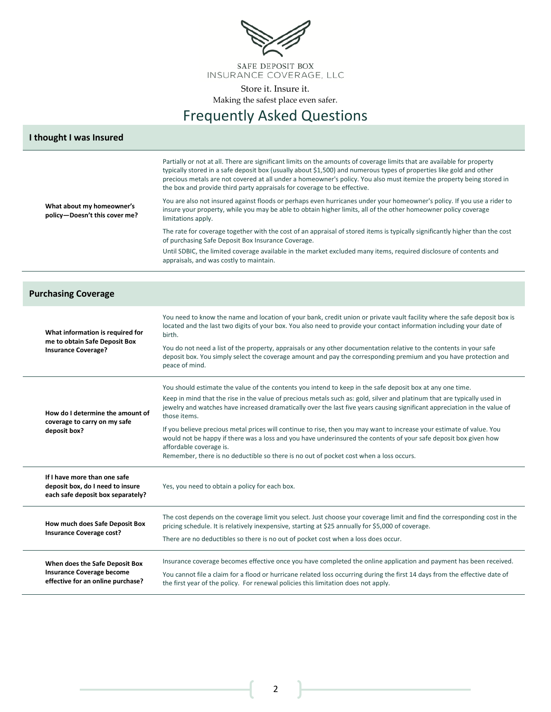

## Frequently Asked Questions

#### **I thought I was Insured**

**What about my homeowner's policy—Doesn't this cover me?** Partially or not at all. There are significant limits on the amounts of coverage limits that are available for property typically stored in a safe deposit box (usually about \$1,500) and numerous types of properties like gold and other precious metals are not covered at all under a homeowner's policy. You also must itemize the property being stored in the box and provide third party appraisals for coverage to be effective. You are also not insured against floods or perhaps even hurricanes under your homeowner's policy. If you use a rider to insure your property, while you may be able to obtain higher limits, all of the other homeowner policy coverage limitations apply. The rate for coverage together with the cost of an appraisal of stored items is typically significantly higher than the cost of purchasing Safe Deposit Box Insurance Coverage. Until SDBIC, the limited coverage available in the market excluded many items, required disclosure of contents and appraisals, and was costly to maintain. **Purchasing Coverage What information is required for me to obtain Safe Deposit Box Insurance Coverage?** You need to know the name and location of your bank, credit union or private vault facility where the safe deposit box is located and the last two digits of your box. You also need to provide your contact information including your date of birth. You do not need a list of the property, appraisals or any other documentation relative to the contents in your safe deposit box. You simply select the coverage amount and pay the corresponding premium and you have protection and peace of mind. **How do I determine the amount of coverage to carry on my safe deposit box?** You should estimate the value of the contents you intend to keep in the safe deposit box at any one time. Keep in mind that the rise in the value of precious metals such as: gold, silver and platinum that are typically used in jewelry and watches have increased dramatically over the last five years causing significant appreciation in the value of those items. If you believe precious metal prices will continue to rise, then you may want to increase your estimate of value. You would not be happy if there was a loss and you have underinsured the contents of your safe deposit box given how affordable coverage is. Remember, there is no deductible so there is no out of pocket cost when a loss occurs. **If I have more than one safe deposit box, do I need to insure each safe deposit box separately?** Yes, you need to obtain a policy for each box. **How much does Safe Deposit Box Insurance Coverage cost?** The cost depends on the coverage limit you select. Just choose your coverage limit and find the corresponding cost in the pricing schedule. It is relatively inexpensive, starting at \$25 annually for \$5,000 of coverage. There are no deductibles so there is no out of pocket cost when a loss does occur. **When does the Safe Deposit Box Insurance Coverage become effective for an online purchase?** Insurance coverage becomes effective once you have completed the online application and payment has been received. You cannot file a claim for a flood or hurricane related loss occurring during the first 14 days from the effective date of the first year of the policy. For renewal policies this limitation does not apply.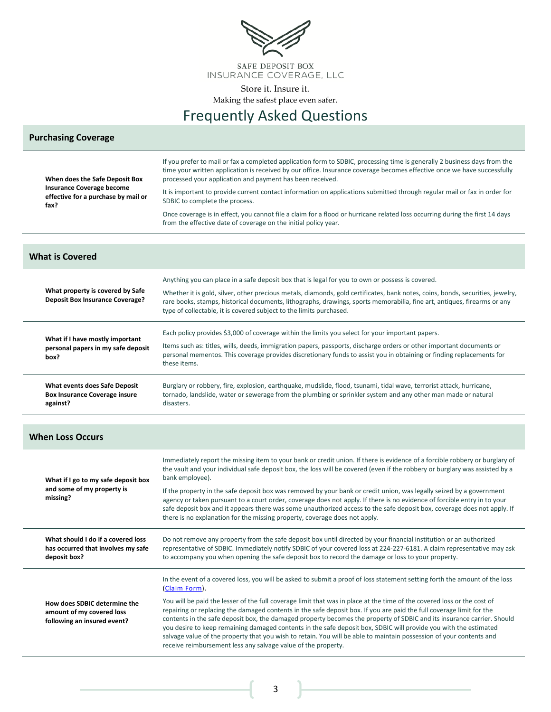

# Frequently Asked Questions

#### **Purchasing Coverage**

| When does the Safe Deposit Box<br>Insurance Coverage become<br>effective for a purchase by mail or<br>fax? | If you prefer to mail or fax a completed application form to SDBIC, processing time is generally 2 business days from the<br>time your written application is received by our office. Insurance coverage becomes effective once we have successfully<br>processed your application and payment has been received.<br>It is important to provide current contact information on applications submitted through regular mail or fax in order for<br>SDBIC to complete the process.<br>Once coverage is in effect, you cannot file a claim for a flood or hurricane related loss occurring during the first 14 days<br>from the effective date of coverage on the initial policy year.                                                                                                                                                  |  |  |  |  |
|------------------------------------------------------------------------------------------------------------|--------------------------------------------------------------------------------------------------------------------------------------------------------------------------------------------------------------------------------------------------------------------------------------------------------------------------------------------------------------------------------------------------------------------------------------------------------------------------------------------------------------------------------------------------------------------------------------------------------------------------------------------------------------------------------------------------------------------------------------------------------------------------------------------------------------------------------------|--|--|--|--|
| <b>What is Covered</b>                                                                                     |                                                                                                                                                                                                                                                                                                                                                                                                                                                                                                                                                                                                                                                                                                                                                                                                                                      |  |  |  |  |
| What property is covered by Safe<br><b>Deposit Box Insurance Coverage?</b>                                 | Anything you can place in a safe deposit box that is legal for you to own or possess is covered.<br>Whether it is gold, silver, other precious metals, diamonds, gold certificates, bank notes, coins, bonds, securities, jewelry,<br>rare books, stamps, historical documents, lithographs, drawings, sports memorabilia, fine art, antiques, firearms or any<br>type of collectable, it is covered subject to the limits purchased.                                                                                                                                                                                                                                                                                                                                                                                                |  |  |  |  |
| What if I have mostly important<br>personal papers in my safe deposit<br>box?                              | Each policy provides \$3,000 of coverage within the limits you select for your important papers.<br>Items such as: titles, wills, deeds, immigration papers, passports, discharge orders or other important documents or<br>personal mementos. This coverage provides discretionary funds to assist you in obtaining or finding replacements for<br>these items.                                                                                                                                                                                                                                                                                                                                                                                                                                                                     |  |  |  |  |
| What events does Safe Deposit<br><b>Box Insurance Coverage insure</b><br>against?                          | Burglary or robbery, fire, explosion, earthquake, mudslide, flood, tsunami, tidal wave, terrorist attack, hurricane,<br>tornado, landslide, water or sewerage from the plumbing or sprinkler system and any other man made or natural<br>disasters.                                                                                                                                                                                                                                                                                                                                                                                                                                                                                                                                                                                  |  |  |  |  |
| <b>When Loss Occurs</b>                                                                                    |                                                                                                                                                                                                                                                                                                                                                                                                                                                                                                                                                                                                                                                                                                                                                                                                                                      |  |  |  |  |
| What if I go to my safe deposit box<br>and some of my property is<br>missing?                              | Immediately report the missing item to your bank or credit union. If there is evidence of a forcible robbery or burglary of<br>the vault and your individual safe deposit box, the loss will be covered (even if the robbery or burglary was assisted by a<br>bank employee).<br>If the property in the safe deposit box was removed by your bank or credit union, was legally seized by a government<br>agency or taken pursuant to a court order, coverage does not apply. If there is no evidence of forcible entry in to your<br>safe deposit box and it appears there was some unauthorized access to the safe deposit box, coverage does not apply. If<br>there is no explanation for the missing property, coverage does not apply.                                                                                           |  |  |  |  |
| What should I do if a covered loss<br>has occurred that involves my safe<br>deposit box?                   | Do not remove any property from the safe deposit box until directed by your financial institution or an authorized<br>representative of SDBIC. Immediately notify SDBIC of your covered loss at 224-227-6181. A claim representative may ask<br>to accompany you when opening the safe deposit box to record the damage or loss to your property.                                                                                                                                                                                                                                                                                                                                                                                                                                                                                    |  |  |  |  |
| How does SDBIC determine the<br>amount of my covered loss<br>following an insured event?                   | In the event of a covered loss, you will be asked to submit a proof of loss statement setting forth the amount of the loss<br>(Claim Form).<br>You will be paid the lesser of the full coverage limit that was in place at the time of the covered loss or the cost of<br>repairing or replacing the damaged contents in the safe deposit box. If you are paid the full coverage limit for the<br>contents in the safe deposit box, the damaged property becomes the property of SDBIC and its insurance carrier. Should<br>you desire to keep remaining damaged contents in the safe deposit box, SDBIC will provide you with the estimated<br>salvage value of the property that you wish to retain. You will be able to maintain possession of your contents and<br>receive reimbursement less any salvage value of the property. |  |  |  |  |